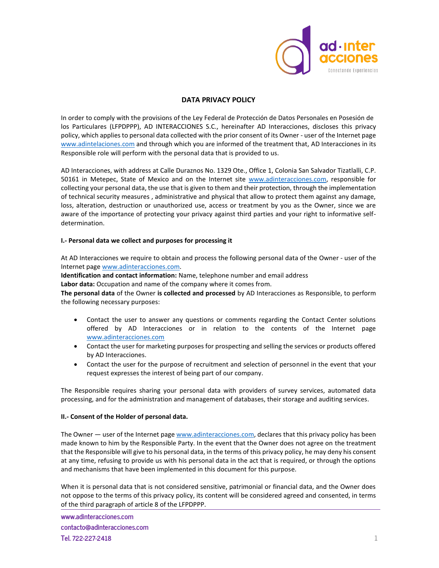

# **DATA PRIVACY POLICY**

In order to comply with the provisions of the Ley Federal de Protección de Datos Personales en Posesión de los Particulares (LFPDPPP), AD INTERACCIONES S.C., hereinafter AD Interacciones, discloses this privacy policy, which applies to personal data collected with the prior consent of its Owner - user of the Internet page [www.adintelaciones.com](http://www.adintelaciones.com/) and through which you are informed of the treatment that, AD Interacciones in its Responsible role will perform with the personal data that is provided to us.

AD Interacciones, with address at Calle Duraznos No. 1329 Ote., Office 1, Colonia San Salvador Tizatlalli, C.P. 50161 in Metepec, State of Mexico and on the Internet site www.adinteracciones.com, responsible for collecting your personal data, the use that is given to them and their protection, through the implementation of technical security measures , administrative and physical that allow to protect them against any damage, loss, alteration, destruction or unauthorized use, access or treatment by you as the Owner, since we are aware of the importance of protecting your privacy against third parties and your right to informative selfdetermination.

### **I.- Personal data we collect and purposes for processing it**

At AD Interacciones we require to obtain and process the following personal data of the Owner - user of the Internet pag[e www.adinteracciones.com.](http://www.adinteracciones.com/)

**Identification and contact information:** Name, telephone number and email address

**Labor data:** Occupation and name of the company where it comes from.

**The personal data** of the Owner **is collected and processed** by AD Interacciones as Responsible, to perform the following necessary purposes:

- Contact the user to answer any questions or comments regarding the Contact Center solutions offered by AD Interacciones or in relation to the contents of the Internet page [www.adinteracciones.com](http://www.adinteracciones.com/)
- Contact the user for marketing purposes for prospecting and selling the services or products offered by AD Interacciones.
- Contact the user for the purpose of recruitment and selection of personnel in the event that your request expresses the interest of being part of our company.

The Responsible requires sharing your personal data with providers of survey services, automated data processing, and for the administration and management of databases, their storage and auditing services.

## **II.- Consent of the Holder of personal data.**

The Owner — user of the Internet page www.adinteracciones.com, declares that this privacy policy has been made known to him by the Responsible Party. In the event that the Owner does not agree on the treatment that the Responsible will give to his personal data, in the terms of this privacy policy, he may deny his consent at any time, refusing to provide us with his personal data in the act that is required, or through the options and mechanisms that have been implemented in this document for this purpose.

When it is personal data that is not considered sensitive, patrimonial or financial data, and the Owner does not oppose to the terms of this privacy policy, its content will be considered agreed and consented, in terms of the third paragraph of article 8 of the LFPDPPP.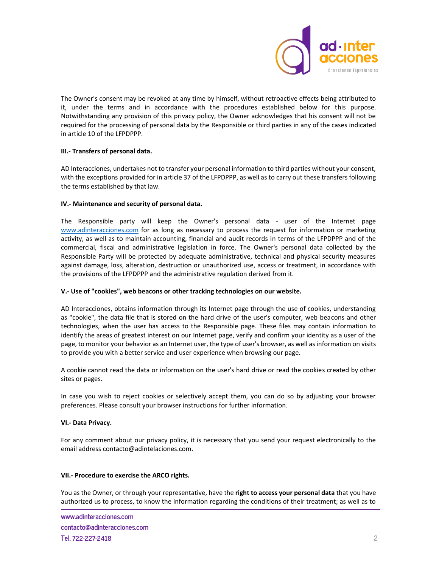

The Owner's consent may be revoked at any time by himself, without retroactive effects being attributed to it, under the terms and in accordance with the procedures established below for this purpose. Notwithstanding any provision of this privacy policy, the Owner acknowledges that his consent will not be required for the processing of personal data by the Responsible or third parties in any of the cases indicated in article 10 of the LFPDPPP.

## **III.- Transfers of personal data.**

AD Interacciones, undertakes not to transfer your personal information to third parties without your consent, with the exceptions provided for in article 37 of the LFPDPPP, as well as to carry out these transfers following the terms established by that law.

### **IV.- Maintenance and security of personal data.**

The Responsible party will keep the Owner's personal data - user of the Internet page www.adinteracciones.com for as long as necessary to process the request for information or marketing activity, as well as to maintain accounting, financial and audit records in terms of the LFPDPPP and of the commercial, fiscal and administrative legislation in force. The Owner's personal data collected by the Responsible Party will be protected by adequate administrative, technical and physical security measures against damage, loss, alteration, destruction or unauthorized use, access or treatment, in accordance with the provisions of the LFPDPPP and the administrative regulation derived from it.

### **V.- Use of "cookies", web beacons or other tracking technologies on our website.**

AD Interacciones, obtains information through its Internet page through the use of cookies, understanding as "cookie", the data file that is stored on the hard drive of the user's computer, web beacons and other technologies, when the user has access to the Responsible page. These files may contain information to identify the areas of greatest interest on our Internet page, verify and confirm your identity as a user of the page, to monitor your behavior as an Internet user, the type of user's browser, as well as information on visits to provide you with a better service and user experience when browsing our page.

A cookie cannot read the data or information on the user's hard drive or read the cookies created by other sites or pages.

In case you wish to reject cookies or selectively accept them, you can do so by adjusting your browser preferences. Please consult your browser instructions for further information.

## **VI.- Data Privacy.**

For any comment about our privacy policy, it is necessary that you send your request electronically to the email addres[s contacto@adintelaciones.com.](mailto:contacto@adintelaciones.com)

### **VII.- Procedure to exercise the ARCO rights.**

You as the Owner, or through your representative, have the **right to access your personal data** that you have authorized us to process, to know the information regarding the conditions of their treatment; as well as to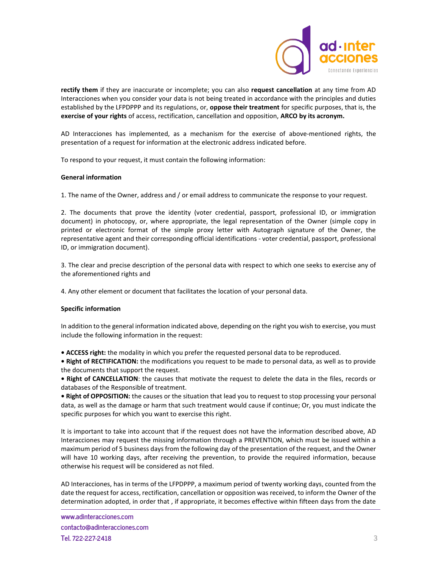

**rectify them** if they are inaccurate or incomplete; you can also **request cancellation** at any time from AD Interacciones when you consider your data is not being treated in accordance with the principles and duties established by the LFPDPPP and its regulations, or, **oppose their treatment** for specific purposes, that is, the **exercise of your rights** of access, rectification, cancellation and opposition, **ARCO by its acronym.**

AD Interacciones has implemented, as a mechanism for the exercise of above-mentioned rights, the presentation of a request for information at the electronic address indicated before.

To respond to your request, it must contain the following information:

### **General information**

1. The name of the Owner, address and / or email address to communicate the response to your request.

2. The documents that prove the identity (voter credential, passport, professional ID, or immigration document) in photocopy, or, where appropriate, the legal representation of the Owner (simple copy in printed or electronic format of the simple proxy letter with Autograph signature of the Owner, the representative agent and their corresponding official identifications - voter credential, passport, professional ID, or immigration document).

3. The clear and precise description of the personal data with respect to which one seeks to exercise any of the aforementioned rights and

4. Any other element or document that facilitates the location of your personal data.

### **Specific information**

In addition to the general information indicated above, depending on the right you wish to exercise, you must include the following information in the request:

**• ACCESS right:** the modality in which you prefer the requested personal data to be reproduced.

**• Right of RECTIFICATION:** the modifications you request to be made to personal data, as well as to provide the documents that support the request.

**• Right of CANCELLATION**: the causes that motivate the request to delete the data in the files, records or databases of the Responsible of treatment.

**• Right of OPPOSITION:** the causes or the situation that lead you to request to stop processing your personal data, as well as the damage or harm that such treatment would cause if continue; Or, you must indicate the specific purposes for which you want to exercise this right.

It is important to take into account that if the request does not have the information described above, AD Interacciones may request the missing information through a PREVENTION, which must be issued within a maximum period of 5 business days from the following day of the presentation of the request, and the Owner will have 10 working days, after receiving the prevention, to provide the required information, because otherwise his request will be considered as not filed.

AD Interacciones, has in terms of the LFPDPPP, a maximum period of twenty working days, counted from the date the request for access, rectification, cancellation or opposition was received, to inform the Owner of the determination adopted, in order that , if appropriate, it becomes effective within fifteen days from the date